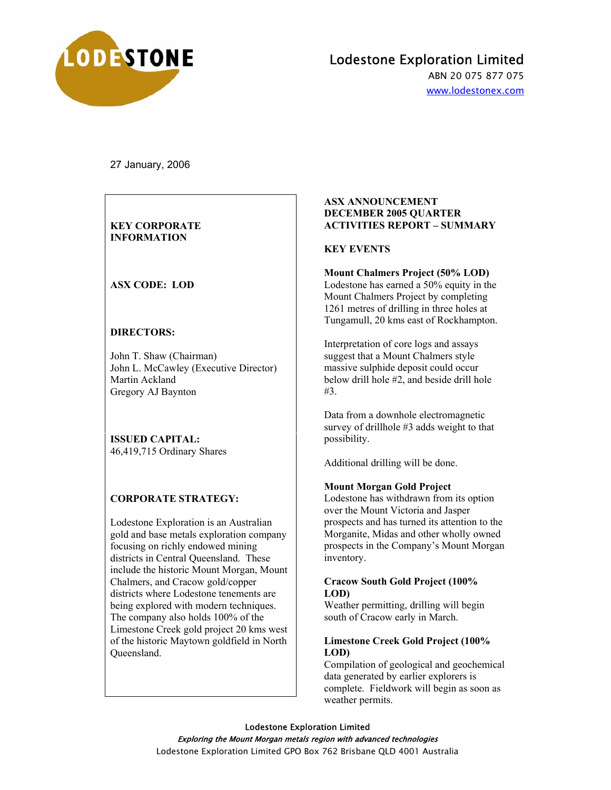

# Lodestone Exploration Limited

ABN 20 075 877 075 www.lodestonex.com

27 January, 2006

## **KEY CORPORATE INFORMATION**

# **ASX CODE: LOD**

## **DIRECTORS:**

John T. Shaw (Chairman) John L. McCawley (Executive Director) Martin Ackland Gregory AJ Baynton

**ISSUED CAPITAL:**  46,419,715 Ordinary Shares

#### **CORPORATE STRATEGY:**

Lodestone Exploration is an Australian gold and base metals exploration company focusing on richly endowed mining districts in Central Queensland. These include the historic Mount Morgan, Mount Chalmers, and Cracow gold/copper districts where Lodestone tenements are being explored with modern techniques. The company also holds 100% of the Limestone Creek gold project 20 kms west of the historic Maytown goldfield in North Queensland.

#### **ASX ANNOUNCEMENT DECEMBER 2005 QUARTER ACTIVITIES REPORT – SUMMARY**

## **KEY EVENTS**

#### **Mount Chalmers Project (50% LOD)**

Lodestone has earned a 50% equity in the Mount Chalmers Project by completing 1261 metres of drilling in three holes at Tungamull, 20 kms east of Rockhampton.

Interpretation of core logs and assays suggest that a Mount Chalmers style massive sulphide deposit could occur below drill hole #2, and beside drill hole #3.

Data from a downhole electromagnetic survey of drillhole #3 adds weight to that possibility.

Additional drilling will be done.

#### **Mount Morgan Gold Project**

Lodestone has withdrawn from its option over the Mount Victoria and Jasper prospects and has turned its attention to the Morganite, Midas and other wholly owned prospects in the Company's Mount Morgan inventory.

#### **Cracow South Gold Project (100% LOD)**

Weather permitting, drilling will begin south of Cracow early in March.

#### **Limestone Creek Gold Project (100% LOD)**

Compilation of geological and geochemical data generated by earlier explorers is complete. Fieldwork will begin as soon as weather permits.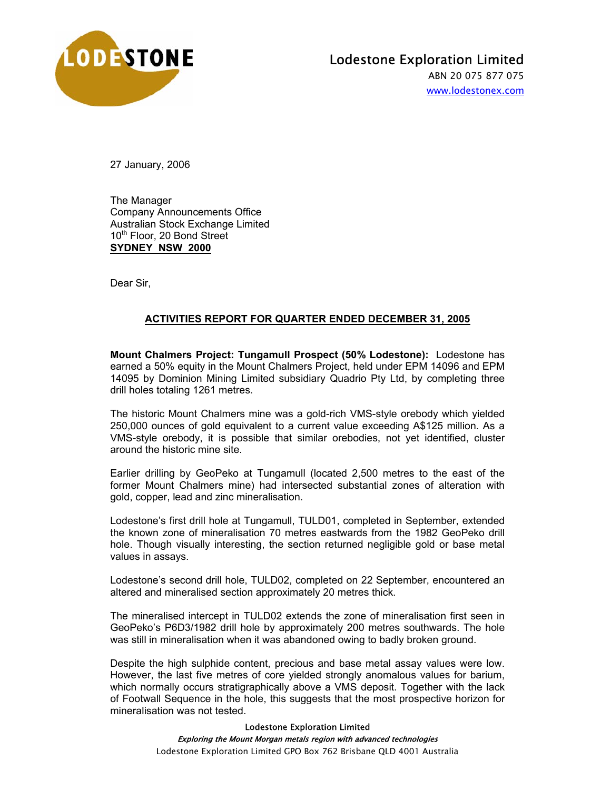

ABN 20 075 877 075 www.lodestonex.com

27 January, 2006

The Manager Company Announcements Office Australian Stock Exchange Limited 10<sup>th</sup> Floor, 20 Bond Street **SYDNEY NSW 2000**

Dear Sir,

# **ACTIVITIES REPORT FOR QUARTER ENDED DECEMBER 31, 2005**

**Mount Chalmers Project: Tungamull Prospect (50% Lodestone):** Lodestone has earned a 50% equity in the Mount Chalmers Project, held under EPM 14096 and EPM 14095 by Dominion Mining Limited subsidiary Quadrio Pty Ltd, by completing three drill holes totaling 1261 metres.

The historic Mount Chalmers mine was a gold-rich VMS-style orebody which yielded 250,000 ounces of gold equivalent to a current value exceeding A\$125 million. As a VMS-style orebody, it is possible that similar orebodies, not yet identified, cluster around the historic mine site.

Earlier drilling by GeoPeko at Tungamull (located 2,500 metres to the east of the former Mount Chalmers mine) had intersected substantial zones of alteration with gold, copper, lead and zinc mineralisation.

Lodestone's first drill hole at Tungamull, TULD01, completed in September, extended the known zone of mineralisation 70 metres eastwards from the 1982 GeoPeko drill hole. Though visually interesting, the section returned negligible gold or base metal values in assays.

Lodestone's second drill hole, TULD02, completed on 22 September, encountered an altered and mineralised section approximately 20 metres thick.

The mineralised intercept in TULD02 extends the zone of mineralisation first seen in GeoPeko's P6D3/1982 drill hole by approximately 200 metres southwards. The hole was still in mineralisation when it was abandoned owing to badly broken ground.

Despite the high sulphide content, precious and base metal assay values were low. However, the last five metres of core yielded strongly anomalous values for barium, which normally occurs stratigraphically above a VMS deposit. Together with the lack of Footwall Sequence in the hole, this suggests that the most prospective horizon for mineralisation was not tested.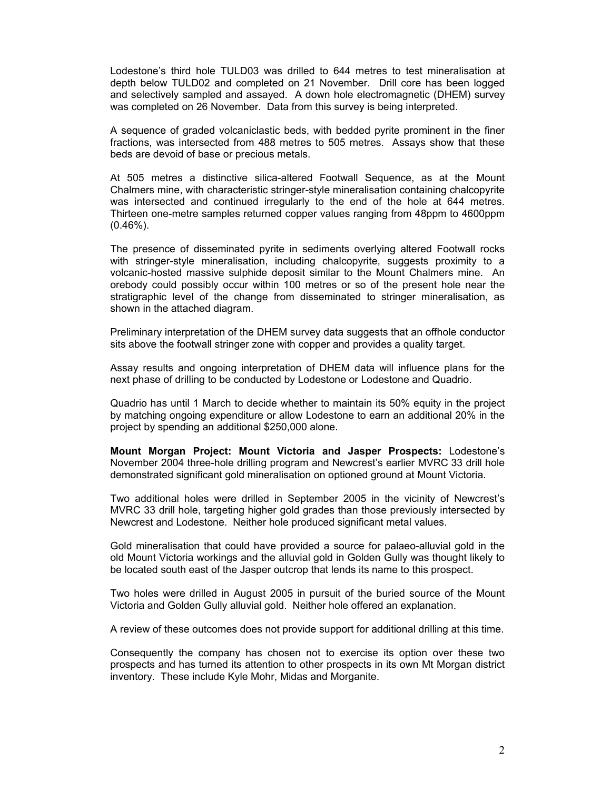Lodestone's third hole TULD03 was drilled to 644 metres to test mineralisation at depth below TULD02 and completed on 21 November. Drill core has been logged and selectively sampled and assayed. A down hole electromagnetic (DHEM) survey was completed on 26 November. Data from this survey is being interpreted.

A sequence of graded volcaniclastic beds, with bedded pyrite prominent in the finer fractions, was intersected from 488 metres to 505 metres. Assays show that these beds are devoid of base or precious metals.

At 505 metres a distinctive silica-altered Footwall Sequence, as at the Mount Chalmers mine, with characteristic stringer-style mineralisation containing chalcopyrite was intersected and continued irregularly to the end of the hole at 644 metres. Thirteen one-metre samples returned copper values ranging from 48ppm to 4600ppm (0.46%).

The presence of disseminated pyrite in sediments overlying altered Footwall rocks with stringer-style mineralisation, including chalcopyrite, suggests proximity to a volcanic-hosted massive sulphide deposit similar to the Mount Chalmers mine. An orebody could possibly occur within 100 metres or so of the present hole near the stratigraphic level of the change from disseminated to stringer mineralisation, as shown in the attached diagram.

Preliminary interpretation of the DHEM survey data suggests that an offhole conductor sits above the footwall stringer zone with copper and provides a quality target.

Assay results and ongoing interpretation of DHEM data will influence plans for the next phase of drilling to be conducted by Lodestone or Lodestone and Quadrio.

Quadrio has until 1 March to decide whether to maintain its 50% equity in the project by matching ongoing expenditure or allow Lodestone to earn an additional 20% in the project by spending an additional \$250,000 alone.

**Mount Morgan Project: Mount Victoria and Jasper Prospects:** Lodestone's November 2004 three-hole drilling program and Newcrest's earlier MVRC 33 drill hole demonstrated significant gold mineralisation on optioned ground at Mount Victoria.

Two additional holes were drilled in September 2005 in the vicinity of Newcrest's MVRC 33 drill hole, targeting higher gold grades than those previously intersected by Newcrest and Lodestone. Neither hole produced significant metal values.

Gold mineralisation that could have provided a source for palaeo-alluvial gold in the old Mount Victoria workings and the alluvial gold in Golden Gully was thought likely to be located south east of the Jasper outcrop that lends its name to this prospect.

Two holes were drilled in August 2005 in pursuit of the buried source of the Mount Victoria and Golden Gully alluvial gold. Neither hole offered an explanation.

A review of these outcomes does not provide support for additional drilling at this time.

Consequently the company has chosen not to exercise its option over these two prospects and has turned its attention to other prospects in its own Mt Morgan district inventory. These include Kyle Mohr, Midas and Morganite.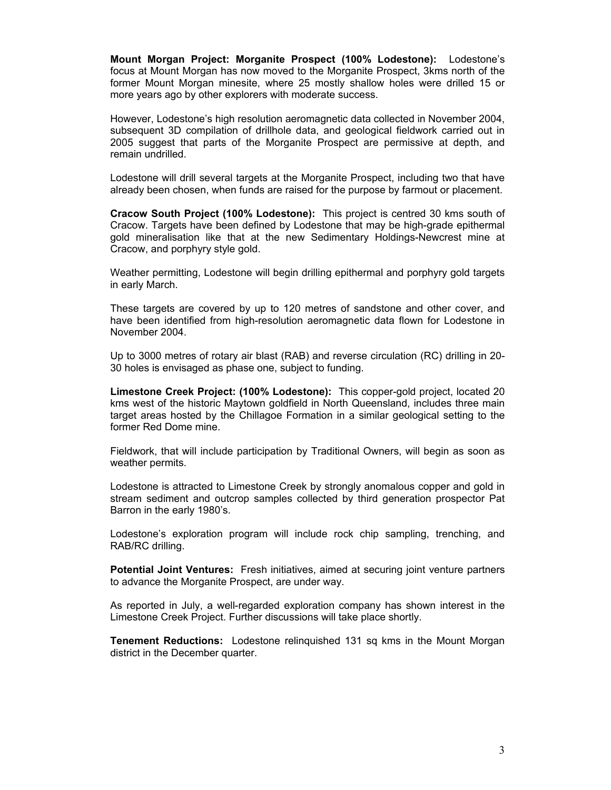**Mount Morgan Project: Morganite Prospect (100% Lodestone):** Lodestone's focus at Mount Morgan has now moved to the Morganite Prospect, 3kms north of the former Mount Morgan minesite, where 25 mostly shallow holes were drilled 15 or more years ago by other explorers with moderate success.

However, Lodestone's high resolution aeromagnetic data collected in November 2004, subsequent 3D compilation of drillhole data, and geological fieldwork carried out in 2005 suggest that parts of the Morganite Prospect are permissive at depth, and remain undrilled.

Lodestone will drill several targets at the Morganite Prospect, including two that have already been chosen, when funds are raised for the purpose by farmout or placement.

**Cracow South Project (100% Lodestone):** This project is centred 30 kms south of Cracow. Targets have been defined by Lodestone that may be high-grade epithermal gold mineralisation like that at the new Sedimentary Holdings-Newcrest mine at Cracow, and porphyry style gold.

Weather permitting, Lodestone will begin drilling epithermal and porphyry gold targets in early March.

These targets are covered by up to 120 metres of sandstone and other cover, and have been identified from high-resolution aeromagnetic data flown for Lodestone in November 2004.

Up to 3000 metres of rotary air blast (RAB) and reverse circulation (RC) drilling in 20- 30 holes is envisaged as phase one, subject to funding.

**Limestone Creek Project: (100% Lodestone):** This copper-gold project, located 20 kms west of the historic Maytown goldfield in North Queensland, includes three main target areas hosted by the Chillagoe Formation in a similar geological setting to the former Red Dome mine.

Fieldwork, that will include participation by Traditional Owners, will begin as soon as weather permits.

Lodestone is attracted to Limestone Creek by strongly anomalous copper and gold in stream sediment and outcrop samples collected by third generation prospector Pat Barron in the early 1980's.

Lodestone's exploration program will include rock chip sampling, trenching, and RAB/RC drilling.

**Potential Joint Ventures:** Fresh initiatives, aimed at securing joint venture partners to advance the Morganite Prospect, are under way.

As reported in July, a well-regarded exploration company has shown interest in the Limestone Creek Project. Further discussions will take place shortly.

**Tenement Reductions:** Lodestone relinquished 131 sq kms in the Mount Morgan district in the December quarter.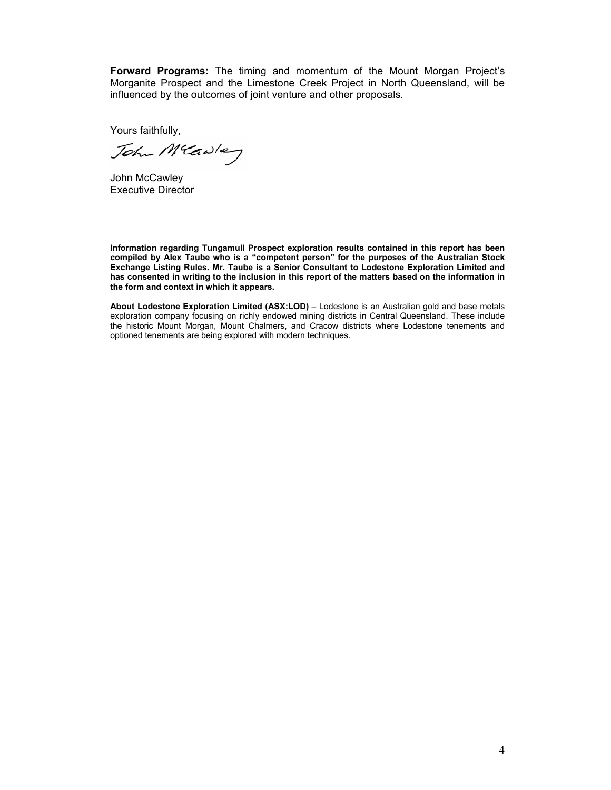**Forward Programs:** The timing and momentum of the Mount Morgan Project's Morganite Prospect and the Limestone Creek Project in North Queensland, will be influenced by the outcomes of joint venture and other proposals.

Yours faithfully,

John Mcawley

John McCawley Executive Director

**Information regarding Tungamull Prospect exploration results contained in this report has been compiled by Alex Taube who is a "competent person" for the purposes of the Australian Stock Exchange Listing Rules. Mr. Taube is a Senior Consultant to Lodestone Exploration Limited and has consented in writing to the inclusion in this report of the matters based on the information in the form and context in which it appears.** 

**About Lodestone Exploration Limited (ASX:LOD)** – Lodestone is an Australian gold and base metals exploration company focusing on richly endowed mining districts in Central Queensland. These include the historic Mount Morgan, Mount Chalmers, and Cracow districts where Lodestone tenements and optioned tenements are being explored with modern techniques.